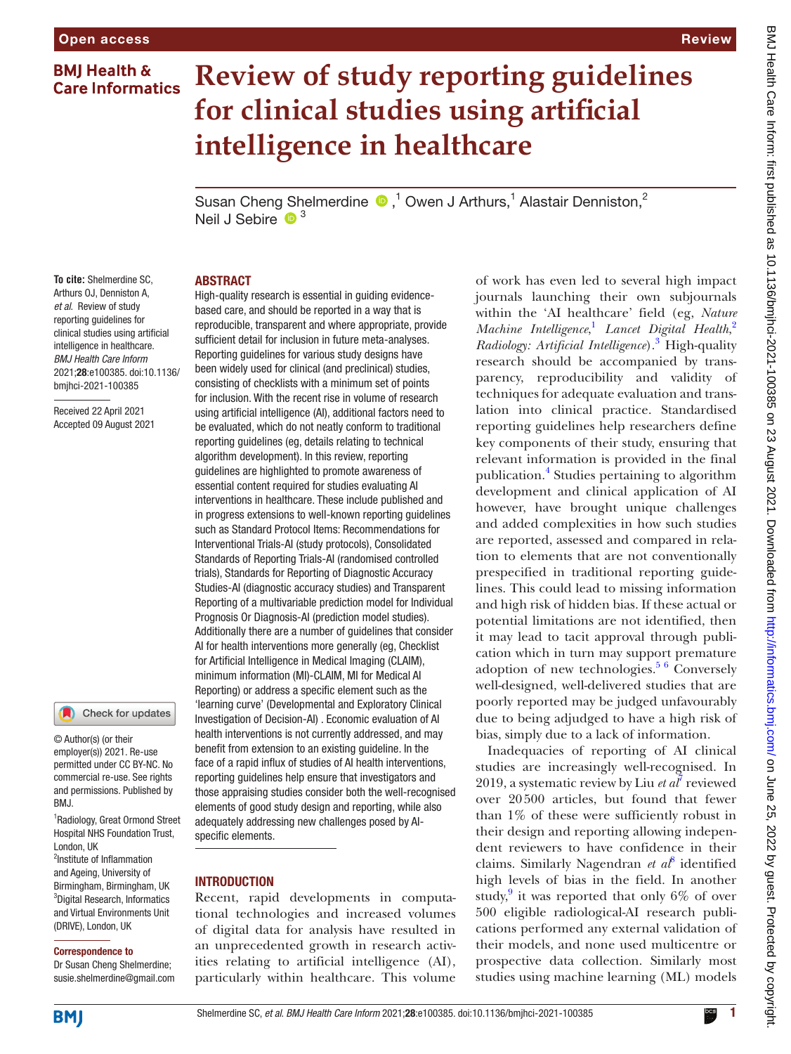# **BMI Health & Care Informatics**

# **Review of study reporting guidelines for clinical studies using artificial intelligence in healthcare**

Susan Cheng Shelmerdine  $\bigcirc$ ,<sup>1</sup> Owen J Arthurs,<sup>1</sup> Alastair Denniston,<sup>2</sup> Neil J Sebire  $\bullet$ <sup>3</sup>

## ABSTRACT

**To cite:** Shelmerdine SC, Arthurs OJ, Denniston A, *et al*. Review of study reporting guidelines for clinical studies using artificial intelligence in healthcare. *BMJ Health Care Inform* 2021;28:e100385. doi:10.1136/ bmjhci-2021-100385

Received 22 April 2021 Accepted 09 August 2021

# Check for updates

© Author(s) (or their employer(s)) 2021. Re-use permitted under CC BY-NC. No commercial re-use. See rights and permissions. Published by BMJ.

1 Radiology, Great Ormond Street Hospital NHS Foundation Trust, London, UK

2 Institute of Inflammation and Ageing, University of Birmingham, Birmingham, UK 3 Digital Research, Informatics and Virtual Environments Unit (DRIVE), London, UK

#### Correspondence to

Dr Susan Cheng Shelmerdine; susie.shelmerdine@gmail.com

High-quality research is essential in guiding evidencebased care, and should be reported in a way that is reproducible, transparent and where appropriate, provide sufficient detail for inclusion in future meta-analyses. Reporting guidelines for various study designs have been widely used for clinical (and preclinical) studies, consisting of checklists with a minimum set of points for inclusion. With the recent rise in volume of research using artificial intelligence (AI), additional factors need to be evaluated, which do not neatly conform to traditional reporting guidelines (eg, details relating to technical algorithm development). In this review, reporting guidelines are highlighted to promote awareness of essential content required for studies evaluating AI interventions in healthcare. These include published and in progress extensions to well-known reporting guidelines such as Standard Protocol Items: Recommendations for Interventional Trials-AI (study protocols), Consolidated Standards of Reporting Trials-AI (randomised controlled trials), Standards for Reporting of Diagnostic Accuracy Studies-AI (diagnostic accuracy studies) and Transparent Reporting of a multivariable prediction model for Individual Prognosis Or Diagnosis-AI (prediction model studies). Additionally there are a number of guidelines that consider AI for health interventions more generally (eg, Checklist for Artificial Intelligence in Medical Imaging (CLAIM), minimum information (MI)-CLAIM, MI for Medical AI Reporting) or address a specific element such as the 'learning curve' (Developmental and Exploratory Clinical Investigation of Decision-AI) . Economic evaluation of AI health interventions is not currently addressed, and may benefit from extension to an existing guideline. In the face of a rapid influx of studies of AI health interventions, reporting guidelines help ensure that investigators and those appraising studies consider both the well-recognised elements of good study design and reporting, while also adequately addressing new challenges posed by AIspecific elements.

## INTRODUCTION

Recent, rapid developments in computational technologies and increased volumes of digital data for analysis have resulted in an unprecedented growth in research activities relating to artificial intelligence (AI), particularly within healthcare. This volume

of work has even led to several high impact journals launching their own subjournals within the 'AI healthcare' field (eg, *Nature Machine Intelligence*, [1](#page-8-0) *Lancet Digital Health*, [2](#page-8-1) *Radiology: Artificial Intelligence*).[3](#page-8-2) High-quality research should be accompanied by transparency, reproducibility and validity of techniques for adequate evaluation and translation into clinical practice. Standardised reporting guidelines help researchers define key components of their study, ensuring that relevant information is provided in the final publication.[4](#page-8-3) Studies pertaining to algorithm development and clinical application of AI however, have brought unique challenges and added complexities in how such studies are reported, assessed and compared in relation to elements that are not conventionally prespecified in traditional reporting guidelines. This could lead to missing information and high risk of hidden bias. If these actual or potential limitations are not identified, then it may lead to tacit approval through publication which in turn may support premature adoption of new technologies. $56$  Conversely well-designed, well-delivered studies that are poorly reported may be judged unfavourably due to being adjudged to have a high risk of bias, simply due to a lack of information.

Inadequacies of reporting of AI clinical studies are increasingly well-recognised. In 2019, a systematic review by Liu *et al*[7](#page-8-5) reviewed over 20500 articles, but found that fewer than 1% of these were sufficiently robust in their design and reporting allowing independent reviewers to have confidence in their claims. Similarly Nagendran *et al*[8](#page-8-6) identified high levels of bias in the field. In another study,<sup>[9](#page-8-7)</sup> it was reported that only  $6\%$  of over 500 eligible radiological-AI research publications performed any external validation of their models, and none used multicentre or prospective data collection. Similarly most studies using machine learning (ML) models

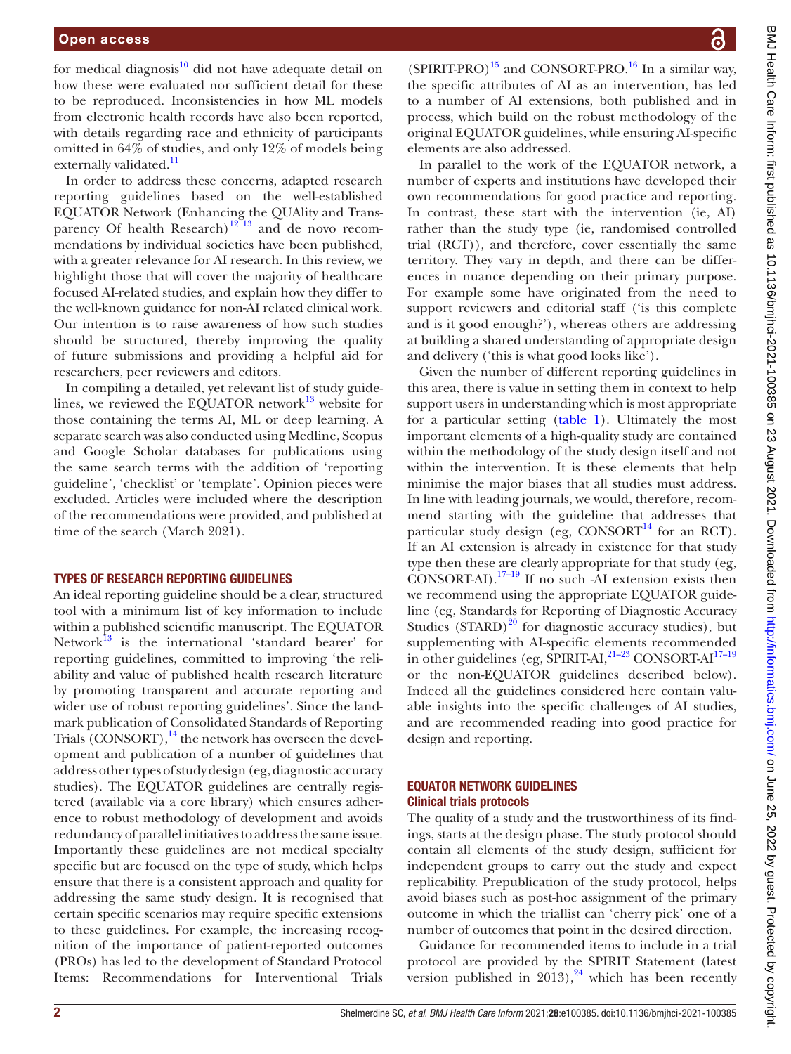for medical diagnosis $^{10}$  did not have adequate detail on how these were evaluated nor sufficient detail for these to be reproduced. Inconsistencies in how ML models from electronic health records have also been reported, with details regarding race and ethnicity of participants omitted in 64% of studies, and only 12% of models being externally validated.<sup>[11](#page-8-9)</sup>

In order to address these concerns, adapted research reporting guidelines based on the well-established EQUATOR Network (Enhancing the QUAlity and Transparency Of health Research)<sup>12</sup><sup>13</sup> and de novo recommendations by individual societies have been published, with a greater relevance for AI research. In this review, we highlight those that will cover the majority of healthcare focused AI-related studies, and explain how they differ to the well-known guidance for non-AI related clinical work. Our intention is to raise awareness of how such studies should be structured, thereby improving the quality of future submissions and providing a helpful aid for researchers, peer reviewers and editors.

In compiling a detailed, yet relevant list of study guidelines, we reviewed the EQUATOR network $13$  website for those containing the terms AI, ML or deep learning. A separate search was also conducted using Medline, Scopus and Google Scholar databases for publications using the same search terms with the addition of 'reporting guideline', 'checklist' or 'template'. Opinion pieces were excluded. Articles were included where the description of the recommendations were provided, and published at time of the search (March 2021).

#### TYPES OF RESEARCH REPORTING GUIDELINES

An ideal reporting guideline should be a clear, structured tool with a minimum list of key information to include within a published scientific manuscript. The EQUATOR Network $^{13}$  is the international 'standard bearer' for reporting guidelines, committed to improving 'the reliability and value of published health research literature by promoting transparent and accurate reporting and wider use of robust reporting guidelines'. Since the landmark publication of Consolidated Standards of Reporting Trials (CONSORT), $^{14}$  $^{14}$  $^{14}$  the network has overseen the development and publication of a number of guidelines that address other types of study design (eg, diagnostic accuracy studies). The EQUATOR guidelines are centrally registered (available via a core library) which ensures adherence to robust methodology of development and avoids redundancy of parallel initiatives to address the same issue. Importantly these guidelines are not medical specialty specific but are focused on the type of study, which helps ensure that there is a consistent approach and quality for addressing the same study design. It is recognised that certain specific scenarios may require specific extensions to these guidelines. For example, the increasing recognition of the importance of patient-reported outcomes (PROs) has led to the development of Standard Protocol Items: Recommendations for Interventional Trials

(SPIRIT-PRO)<sup>15</sup> and CONSORT-PRO.<sup>16</sup> In a similar way, the specific attributes of AI as an intervention, has led to a number of AI extensions, both published and in process, which build on the robust methodology of the original EQUATOR guidelines, while ensuring AI-specific elements are also addressed.

In parallel to the work of the EQUATOR network, a number of experts and institutions have developed their own recommendations for good practice and reporting. In contrast, these start with the intervention (ie, AI) rather than the study type (ie, randomised controlled trial (RCT)), and therefore, cover essentially the same territory. They vary in depth, and there can be differences in nuance depending on their primary purpose. For example some have originated from the need to support reviewers and editorial staff ('is this complete and is it good enough?'), whereas others are addressing at building a shared understanding of appropriate design and delivery ('this is what good looks like').

Given the number of different reporting guidelines in this area, there is value in setting them in context to help support users in understanding which is most appropriate for a particular setting ([table](#page-2-0) 1). Ultimately the most important elements of a high-quality study are contained within the methodology of the study design itself and not within the intervention. It is these elements that help minimise the major biases that all studies must address. In line with leading journals, we would, therefore, recommend starting with the guideline that addresses that particular study design (eg,  $CONSORT<sup>14</sup>$  for an RCT). If an AI extension is already in existence for that study type then these are clearly appropriate for that study (eg,  $\overrightarrow{CONSORT-AI}$ .<sup>17–19</sup> If no such -AI extension exists then we recommend using the appropriate EQUATOR guideline (eg, Standards for Reporting of Diagnostic Accuracy Studies  $(STARD)^{20}$  for diagnostic accuracy studies), but supplementing with AI-specific elements recommended in other guidelines (eg, SPIRIT-AI, $^{21-23}$  CONSORT-AI $^{17-19}$ or the non-EQUATOR guidelines described below). Indeed all the guidelines considered here contain valuable insights into the specific challenges of AI studies, and are recommended reading into good practice for design and reporting.

## EQUATOR NETWORK GUIDELINES Clinical trials protocols

The quality of a study and the trustworthiness of its findings, starts at the design phase. The study protocol should contain all elements of the study design, sufficient for independent groups to carry out the study and expect replicability. Prepublication of the study protocol, helps avoid biases such as post-hoc assignment of the primary outcome in which the triallist can 'cherry pick' one of a number of outcomes that point in the desired direction.

Guidance for recommended items to include in a trial protocol are provided by the SPIRIT Statement (latest version published in  $2013$ ,<sup>[24](#page-8-18)</sup> which has been recently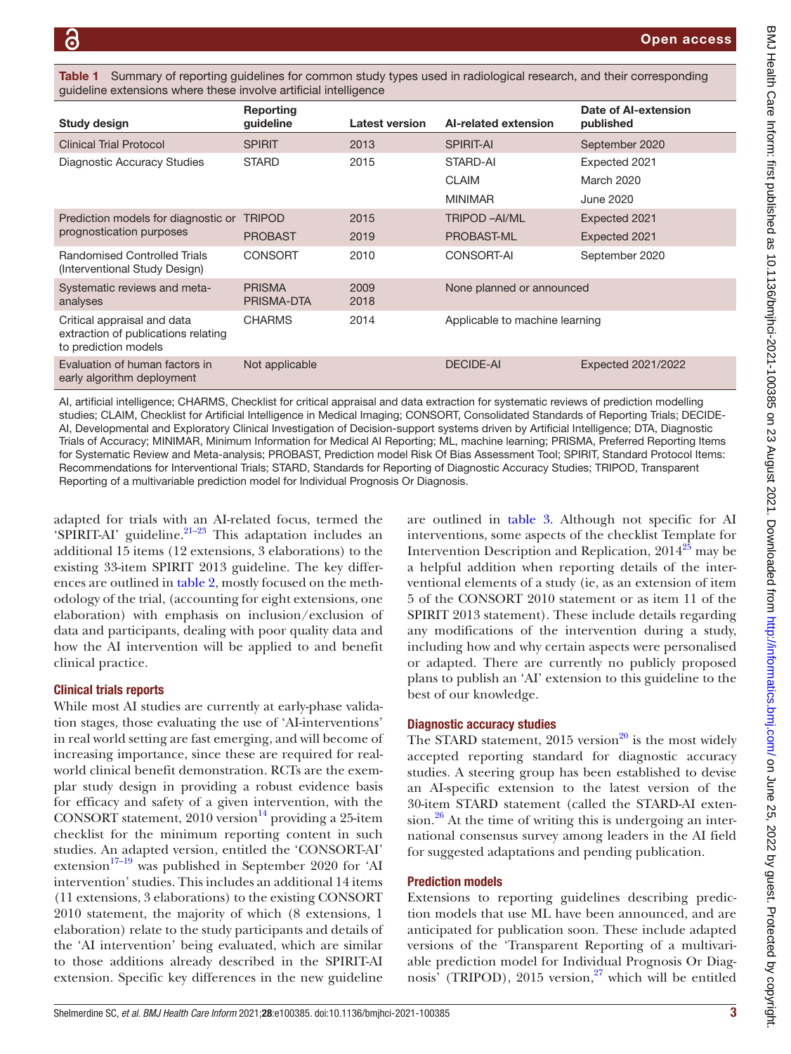<span id="page-2-0"></span>Summary of reporting guidelines for common study types used in radiological research, and their corresponding guideline extensions where these involve artificial intelligence

| Study design                                                                               | Reporting<br>guideline      | <b>Latest version</b> | Al-related extension           | Date of AI-extension<br>published |
|--------------------------------------------------------------------------------------------|-----------------------------|-----------------------|--------------------------------|-----------------------------------|
| <b>Clinical Trial Protocol</b>                                                             | <b>SPIRIT</b>               | 2013                  | <b>SPIRIT-AI</b>               | September 2020                    |
| Diagnostic Accuracy Studies                                                                | <b>STARD</b>                | 2015                  | STARD-AI                       | Expected 2021                     |
|                                                                                            |                             |                       | <b>CLAIM</b>                   | <b>March 2020</b>                 |
|                                                                                            |                             |                       | <b>MINIMAR</b>                 | <b>June 2020</b>                  |
| Prediction models for diagnostic or                                                        | <b>TRIPOD</b>               | 2015                  | <b>TRIPOD-AI/ML</b>            | Expected 2021                     |
| prognostication purposes                                                                   | <b>PROBAST</b>              | 2019                  | PROBAST-ML                     | Expected 2021                     |
| <b>Randomised Controlled Trials</b><br>(Interventional Study Design)                       | <b>CONSORT</b>              | 2010                  | CONSORT-AI                     | September 2020                    |
| Systematic reviews and meta-<br>analyses                                                   | <b>PRISMA</b><br>PRISMA-DTA | 2009<br>2018          | None planned or announced      |                                   |
| Critical appraisal and data<br>extraction of publications relating<br>to prediction models | <b>CHARMS</b>               | 2014                  | Applicable to machine learning |                                   |
| Evaluation of human factors in<br>early algorithm deployment                               | Not applicable              |                       | <b>DECIDE-AI</b>               | Expected 2021/2022                |
|                                                                                            |                             |                       |                                |                                   |

AI, artificial intelligence; CHARMS, Checklist for critical appraisal and data extraction for systematic reviews of prediction modelling studies; CLAIM, Checklist for Artificial Intelligence in Medical Imaging; CONSORT, Consolidated Standards of Reporting Trials; DECIDE-AI, Developmental and Exploratory Clinical Investigation of Decision-support systems driven by Artificial Intelligence; DTA, Diagnostic Trials of Accuracy; MINIMAR, Minimum Information for Medical AI Reporting; ML, machine learning; PRISMA, Preferred Reporting Items for Systematic Review and Meta-analysis; PROBAST, Prediction model Risk Of Bias Assessment Tool; SPIRIT, Standard Protocol Items: Recommendations for Interventional Trials; STARD, Standards for Reporting of Diagnostic Accuracy Studies; TRIPOD, Transparent Reporting of a multivariable prediction model for Individual Prognosis Or Diagnosis.

adapted for trials with an AI-related focus, termed the 'SPIRIT-AI' guideline. $21-23$  This adaptation includes an additional 15 items (12 extensions, 3 elaborations) to the existing 33-item SPIRIT 2013 guideline. The key differences are outlined in [table](#page-3-0) 2, mostly focused on the methodology of the trial, (accounting for eight extensions, one elaboration) with emphasis on inclusion/exclusion of data and participants, dealing with poor quality data and how the AI intervention will be applied to and benefit clinical practice.

## Clinical trials reports

While most AI studies are currently at early-phase validation stages, those evaluating the use of 'AI-interventions' in real world setting are fast emerging, and will become of increasing importance, since these are required for realworld clinical benefit demonstration. RCTs are the exemplar study design in providing a robust evidence basis for efficacy and safety of a given intervention, with the CONSORT statement,  $2010$  version<sup>14</sup> providing a 25-item checklist for the minimum reporting content in such studies. An adapted version, entitled the 'CONSORT-AI' extension<sup>[17–19](#page-8-15)</sup> was published in September 2020 for 'AI intervention' studies. This includes an additional 14 items (11 extensions, 3 elaborations) to the existing CONSORT 2010 statement, the majority of which (8 extensions, 1 elaboration) relate to the study participants and details of the 'AI intervention' being evaluated, which are similar to those additions already described in the SPIRIT-AI extension. Specific key differences in the new guideline

are outlined in [table](#page-4-0) 3. Although not specific for AI interventions, some aspects of the checklist Template for Intervention Description and Replication,  $2014^{25}$  may be a helpful addition when reporting details of the interventional elements of a study (ie, as an extension of item 5 of the CONSORT 2010 statement or as item 11 of the SPIRIT 2013 statement). These include details regarding any modifications of the intervention during a study, including how and why certain aspects were personalised or adapted. There are currently no publicly proposed plans to publish an 'AI' extension to this guideline to the best of our knowledge.

# Diagnostic accuracy studies

The STARD statement,  $2015$  version<sup>20</sup> is the most widely accepted reporting standard for diagnostic accuracy studies. A steering group has been established to devise an AI-specific extension to the latest version of the 30-item STARD statement (called the STARD-AI exten- $sion.<sup>26</sup>$  $sion.<sup>26</sup>$  $sion.<sup>26</sup>$  At the time of writing this is undergoing an international consensus survey among leaders in the AI field for suggested adaptations and pending publication.

# Prediction models

Extensions to reporting guidelines describing prediction models that use ML have been announced, and are anticipated for publication soon. These include adapted versions of the 'Transparent Reporting of a multivariable prediction model for Individual Prognosis Or Diag-nosis' (TRIPOD), 2015 version,<sup>[27](#page-8-21)</sup> which will be entitled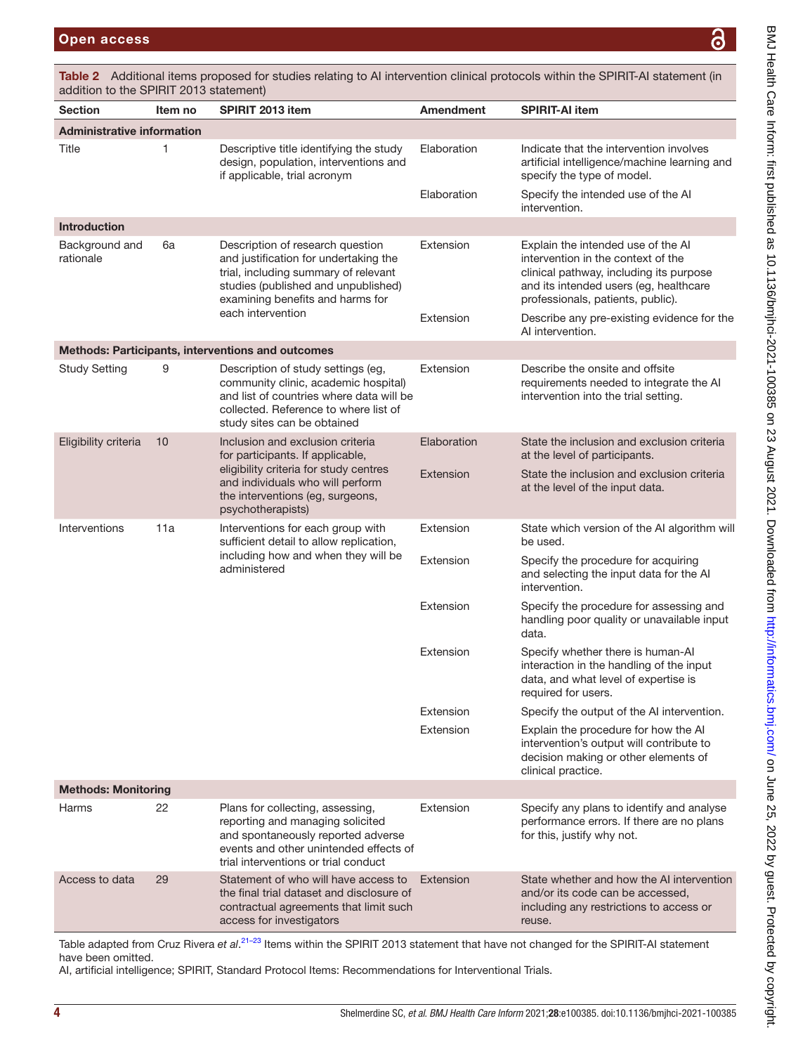BMJ Health Care Inform: first published as 10.1136/bmjhci-2021-100385 on 23 August 2021. Downloaded from http://informatics.bmj.com/ on June 25, 2022 by guest. Protected by copyright. BMJ Health Care Inform: first published as 10.1136/bmjhci-2021-100385 on 23 August 2021. Downloaded from/nnatics.bmj.com/ on June 25, 2022 by guest. Protected by copyright.

| addition to the SPIRIT 2013 statement) |         |                                                                                                                                                                                                |             |                                                                                                                                                                                                    |  |  |
|----------------------------------------|---------|------------------------------------------------------------------------------------------------------------------------------------------------------------------------------------------------|-------------|----------------------------------------------------------------------------------------------------------------------------------------------------------------------------------------------------|--|--|
| <b>Section</b>                         | Item no | SPIRIT 2013 item                                                                                                                                                                               | Amendment   | <b>SPIRIT-AI item</b>                                                                                                                                                                              |  |  |
| <b>Administrative information</b>      |         |                                                                                                                                                                                                |             |                                                                                                                                                                                                    |  |  |
| Title                                  | 1       | Descriptive title identifying the study<br>design, population, interventions and<br>if applicable, trial acronym                                                                               | Elaboration | Indicate that the intervention involves<br>artificial intelligence/machine learning and<br>specify the type of model.                                                                              |  |  |
|                                        |         |                                                                                                                                                                                                | Elaboration | Specify the intended use of the AI<br>intervention.                                                                                                                                                |  |  |
| <b>Introduction</b>                    |         |                                                                                                                                                                                                |             |                                                                                                                                                                                                    |  |  |
| Background and<br>rationale            | 6a      | Description of research question<br>and justification for undertaking the<br>trial, including summary of relevant<br>studies (published and unpublished)<br>examining benefits and harms for   | Extension   | Explain the intended use of the AI<br>intervention in the context of the<br>clinical pathway, including its purpose<br>and its intended users (eg, healthcare<br>professionals, patients, public). |  |  |
|                                        |         | each intervention                                                                                                                                                                              | Extension   | Describe any pre-existing evidence for the<br>AI intervention.                                                                                                                                     |  |  |
|                                        |         | Methods: Participants, interventions and outcomes                                                                                                                                              |             |                                                                                                                                                                                                    |  |  |
| <b>Study Setting</b>                   | 9       | Description of study settings (eg,<br>community clinic, academic hospital)<br>and list of countries where data will be<br>collected. Reference to where list of<br>study sites can be obtained | Extension   | Describe the onsite and offsite<br>requirements needed to integrate the AI<br>intervention into the trial setting.                                                                                 |  |  |
| Eligibility criteria                   | 10      | Inclusion and exclusion criteria<br>for participants. If applicable,                                                                                                                           | Elaboration | State the inclusion and exclusion criteria<br>at the level of participants.                                                                                                                        |  |  |
|                                        |         | eligibility criteria for study centres<br>and individuals who will perform<br>the interventions (eg, surgeons,<br>psychotherapists)                                                            | Extension   | State the inclusion and exclusion criteria<br>at the level of the input data.                                                                                                                      |  |  |
| Interventions                          | 11a     | Interventions for each group with<br>sufficient detail to allow replication,                                                                                                                   | Extension   | State which version of the AI algorithm will<br>be used.                                                                                                                                           |  |  |
|                                        |         | including how and when they will be<br>administered                                                                                                                                            | Extension   | Specify the procedure for acquiring<br>and selecting the input data for the AI<br>intervention.                                                                                                    |  |  |
|                                        |         |                                                                                                                                                                                                | Extension   | Specify the procedure for assessing and<br>handling poor quality or unavailable input<br>data.                                                                                                     |  |  |
|                                        |         |                                                                                                                                                                                                | Extension   | Specify whether there is human-AI<br>interaction in the handling of the input<br>data, and what level of expertise is<br>required for users.                                                       |  |  |
|                                        |         |                                                                                                                                                                                                | Extension   | Specify the output of the AI intervention.                                                                                                                                                         |  |  |
|                                        |         |                                                                                                                                                                                                | Extension   | Explain the procedure for how the AI<br>intervention's output will contribute to<br>decision making or other elements of<br>clinical practice.                                                     |  |  |
| <b>Methods: Monitoring</b>             |         |                                                                                                                                                                                                |             |                                                                                                                                                                                                    |  |  |
| Harms                                  | 22      | Plans for collecting, assessing,<br>reporting and managing solicited<br>and spontaneously reported adverse<br>events and other unintended effects of<br>trial interventions or trial conduct   | Extension   | Specify any plans to identify and analyse<br>performance errors. If there are no plans<br>for this, justify why not.                                                                               |  |  |
| Access to data                         | 29      | Statement of who will have access to<br>the final trial dataset and disclosure of<br>contractual agreements that limit such<br>access for investigators                                        | Extension   | State whether and how the AI intervention<br>and/or its code can be accessed,<br>including any restrictions to access or<br>reuse.                                                                 |  |  |

<span id="page-3-0"></span>Table 2 Additional items proposed for studies relating to AI intervention clinical protocols within the SPIRIT-AI statement (in

Table adapted from Cruz Rivera et al.<sup>21–23</sup> Items within the SPIRIT 2013 statement that have not changed for the SPIRIT-AI statement have been omitted.

AI, artificial intelligence; SPIRIT, Standard Protocol Items: Recommendations for Interventional Trials.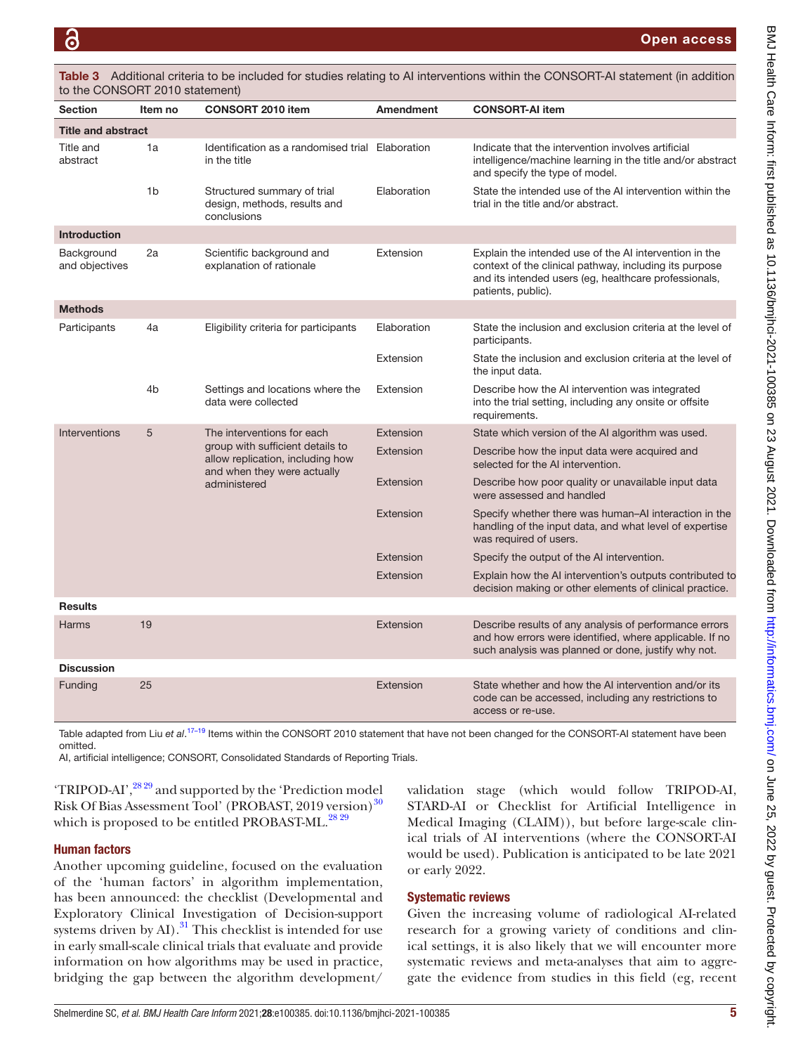| <b>Section</b>               | Item no                                                                                                             | <b>CONSORT 2010 item</b>                                                   | <b>Amendment</b>                                                                   | <b>CONSORT-AI item</b>                                                                                                                                                                          |
|------------------------------|---------------------------------------------------------------------------------------------------------------------|----------------------------------------------------------------------------|------------------------------------------------------------------------------------|-------------------------------------------------------------------------------------------------------------------------------------------------------------------------------------------------|
| <b>Title and abstract</b>    |                                                                                                                     |                                                                            |                                                                                    |                                                                                                                                                                                                 |
| Title and<br>abstract        | 1a                                                                                                                  | Identification as a randomised trial Elaboration<br>in the title           |                                                                                    | Indicate that the intervention involves artificial<br>intelligence/machine learning in the title and/or abstract<br>and specify the type of model.                                              |
|                              | 1 <sub>b</sub>                                                                                                      | Structured summary of trial<br>design, methods, results and<br>conclusions | Elaboration                                                                        | State the intended use of the AI intervention within the<br>trial in the title and/or abstract.                                                                                                 |
| <b>Introduction</b>          |                                                                                                                     |                                                                            |                                                                                    |                                                                                                                                                                                                 |
| Background<br>and objectives | 2a                                                                                                                  | Scientific background and<br>explanation of rationale                      | Extension                                                                          | Explain the intended use of the AI intervention in the<br>context of the clinical pathway, including its purpose<br>and its intended users (eg, healthcare professionals,<br>patients, public). |
| <b>Methods</b>               |                                                                                                                     |                                                                            |                                                                                    |                                                                                                                                                                                                 |
| Participants                 | 4a                                                                                                                  | Eligibility criteria for participants                                      | Elaboration                                                                        | State the inclusion and exclusion criteria at the level of<br>participants.                                                                                                                     |
|                              |                                                                                                                     |                                                                            | Extension                                                                          | State the inclusion and exclusion criteria at the level of<br>the input data.                                                                                                                   |
|                              | 4b                                                                                                                  | Settings and locations where the<br>data were collected                    | Extension                                                                          | Describe how the AI intervention was integrated<br>into the trial setting, including any onsite or offsite<br>requirements.                                                                     |
| Interventions                | 5                                                                                                                   | The interventions for each                                                 | Extension                                                                          | State which version of the AI algorithm was used.                                                                                                                                               |
|                              | group with sufficient details to<br>allow replication, including how<br>and when they were actually<br>administered | Extension                                                                  | Describe how the input data were acquired and<br>selected for the AI intervention. |                                                                                                                                                                                                 |
|                              |                                                                                                                     | Extension                                                                  | Describe how poor quality or unavailable input data<br>were assessed and handled   |                                                                                                                                                                                                 |
|                              |                                                                                                                     |                                                                            | Extension                                                                          | Specify whether there was human-AI interaction in the<br>handling of the input data, and what level of expertise<br>was required of users.                                                      |
|                              |                                                                                                                     |                                                                            | Extension                                                                          | Specify the output of the AI intervention.                                                                                                                                                      |
|                              |                                                                                                                     |                                                                            | Extension                                                                          | Explain how the AI intervention's outputs contributed to<br>decision making or other elements of clinical practice.                                                                             |
| <b>Results</b>               |                                                                                                                     |                                                                            |                                                                                    |                                                                                                                                                                                                 |
| Harms                        | 19                                                                                                                  |                                                                            | Extension                                                                          | Describe results of any analysis of performance errors<br>and how errors were identified, where applicable. If no<br>such analysis was planned or done, justify why not.                        |
| <b>Discussion</b>            |                                                                                                                     |                                                                            |                                                                                    |                                                                                                                                                                                                 |
| Funding                      | 25                                                                                                                  |                                                                            | Extension                                                                          | State whether and how the AI intervention and/or its<br>code can be accessed, including any restrictions to<br>access or re-use.                                                                |

<span id="page-4-0"></span>Table 3 Additional criteria to be included for studies relating to AI interventions within the CONSORT-AI statement (in addition to the CONSORT 2010 statement)

Table adapted from Liu et al.<sup>17–19</sup> Items within the CONSORT 2010 statement that have not been changed for the CONSORT-AI statement have been omitted.

AI, artificial intelligence; CONSORT, Consolidated Standards of Reporting Trials.

'TRIPOD-AI',<sup>28 29</sup> and supported by the 'Prediction model Risk Of Bias Assessment Tool' (PROBAST, 2019 version)<sup>30</sup> which is proposed to be entitled PROBAST-ML.<sup>28 29</sup>

# Human factors

Another upcoming guideline, focused on the evaluation of the 'human factors' in algorithm implementation, has been announced: the checklist (Developmental and Exploratory Clinical Investigation of Decision-support systems driven by  $AI$ ).<sup>[31](#page-8-24)</sup> This checklist is intended for use in early small-scale clinical trials that evaluate and provide information on how algorithms may be used in practice, bridging the gap between the algorithm development/

validation stage (which would follow TRIPOD-AI, STARD-AI or Checklist for Artificial Intelligence in Medical Imaging (CLAIM)), but before large-scale clinical trials of AI interventions (where the CONSORT-AI would be used). Publication is anticipated to be late 2021 or early 2022.

# Systematic reviews

Given the increasing volume of radiological AI-related research for a growing variety of conditions and clinical settings, it is also likely that we will encounter more systematic reviews and meta-analyses that aim to aggregate the evidence from studies in this field (eg, recent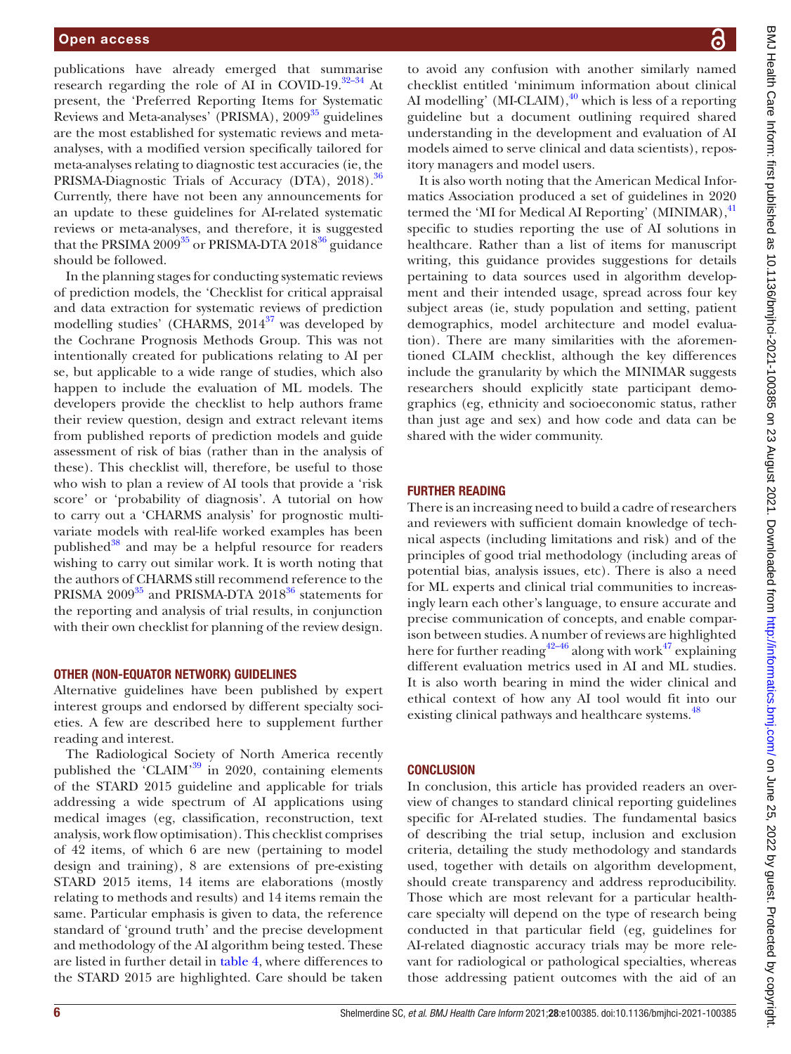publications have already emerged that summarise research regarding the role of AI in COVID-19. $32-34$  At present, the 'Preferred Reporting Items for Systematic Reviews and Meta-analyses' (PRISMA), 2009<sup>35</sup> guidelines are the most established for systematic reviews and metaanalyses, with a modified version specifically tailored for meta-analyses relating to diagnostic test accuracies (ie, the PRISMA-Diagnostic Trials of Accuracy (DTA), 2018).<sup>36</sup> Currently, there have not been any announcements for an update to these guidelines for AI-related systematic reviews or meta-analyses, and therefore, it is suggested that the PRSIMA 2009 $^{35}$  or PRISMA-DTA 2018 $^{36}$  guidance should be followed.

In the planning stages for conducting systematic reviews of prediction models, the 'Checklist for critical appraisal and data extraction for systematic reviews of prediction modelling studies' (CHARMS,  $2014^{37}$  was developed by the Cochrane Prognosis Methods Group. This was not intentionally created for publications relating to AI per se, but applicable to a wide range of studies, which also happen to include the evaluation of ML models. The developers provide the checklist to help authors frame their review question, design and extract relevant items from published reports of prediction models and guide assessment of risk of bias (rather than in the analysis of these). This checklist will, therefore, be useful to those who wish to plan a review of AI tools that provide a 'risk score' or 'probability of diagnosis'. A tutorial on how to carry out a 'CHARMS analysis' for prognostic multivariate models with real-life worked examples has been published $38$  and may be a helpful resource for readers wishing to carry out similar work. It is worth noting that the authors of CHARMS still recommend reference to the PRISMA  $2009^{35}$  and PRISMA-DTA  $2018^{36}$  statements for the reporting and analysis of trial results, in conjunction with their own checklist for planning of the review design.

## OTHER (NON-EQUATOR NETWORK) GUIDELINES

Alternative guidelines have been published by expert interest groups and endorsed by different specialty societies. A few are described here to supplement further reading and interest.

The Radiological Society of North America recently published the 'CLAIM'[39](#page-9-5) in 2020, containing elements of the STARD 2015 guideline and applicable for trials addressing a wide spectrum of AI applications using medical images (eg, classification, reconstruction, text analysis, work flow optimisation). This checklist comprises of 42 items, of which 6 are new (pertaining to model design and training), 8 are extensions of pre-existing STARD 2015 items, 14 items are elaborations (mostly relating to methods and results) and 14 items remain the same. Particular emphasis is given to data, the reference standard of 'ground truth' and the precise development and methodology of the AI algorithm being tested. These are listed in further detail in [table](#page-6-0) 4, where differences to the STARD 2015 are highlighted. Care should be taken

to avoid any confusion with another similarly named checklist entitled 'minimum information about clinical AI modelling' (MI-CLAIM), $^{40}$  $^{40}$  $^{40}$  which is less of a reporting guideline but a document outlining required shared understanding in the development and evaluation of AI models aimed to serve clinical and data scientists), repository managers and model users.

It is also worth noting that the American Medical Informatics Association produced a set of guidelines in 2020 termed the 'MI for Medical AI Reporting' (MINIMAR),<sup>[41](#page-9-7)</sup> specific to studies reporting the use of AI solutions in healthcare. Rather than a list of items for manuscript writing, this guidance provides suggestions for details pertaining to data sources used in algorithm development and their intended usage, spread across four key subject areas (ie, study population and setting, patient demographics, model architecture and model evaluation). There are many similarities with the aforementioned CLAIM checklist, although the key differences include the granularity by which the MINIMAR suggests researchers should explicitly state participant demographics (eg, ethnicity and socioeconomic status, rather than just age and sex) and how code and data can be shared with the wider community.

# FURTHER READING

There is an increasing need to build a cadre of researchers and reviewers with sufficient domain knowledge of technical aspects (including limitations and risk) and of the principles of good trial methodology (including areas of potential bias, analysis issues, etc). There is also a need for ML experts and clinical trial communities to increasingly learn each other's language, to ensure accurate and precise communication of concepts, and enable comparison between studies. A number of reviews are highlighted here for further reading<sup>[42–46](#page-9-8)</sup> along with work<sup>47</sup> explaining different evaluation metrics used in AI and ML studies. It is also worth bearing in mind the wider clinical and ethical context of how any AI tool would fit into our existing clinical pathways and healthcare systems.<sup>[48](#page-9-10)</sup>

## **CONCLUSION**

In conclusion, this article has provided readers an overview of changes to standard clinical reporting guidelines specific for AI-related studies. The fundamental basics of describing the trial setup, inclusion and exclusion criteria, detailing the study methodology and standards used, together with details on algorithm development, should create transparency and address reproducibility. Those which are most relevant for a particular healthcare specialty will depend on the type of research being conducted in that particular field (eg, guidelines for AI-related diagnostic accuracy trials may be more relevant for radiological or pathological specialties, whereas those addressing patient outcomes with the aid of an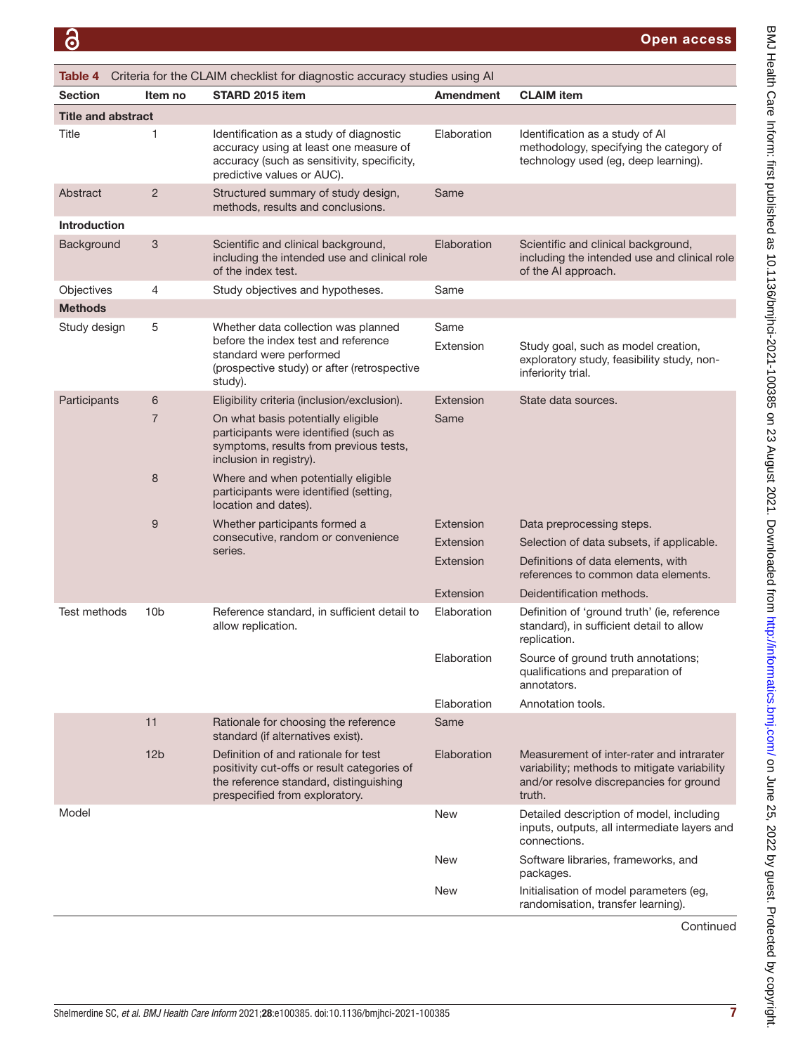<span id="page-6-0"></span>

| Criteria for the CLAIM checklist for diagnostic accuracy studies using AI<br>Table 4 |                 |                                                                                                                                                                 |                   |                                                                                                                                                |
|--------------------------------------------------------------------------------------|-----------------|-----------------------------------------------------------------------------------------------------------------------------------------------------------------|-------------------|------------------------------------------------------------------------------------------------------------------------------------------------|
| <b>Section</b>                                                                       | Item no         | STARD 2015 item                                                                                                                                                 | Amendment         | <b>CLAIM</b> item                                                                                                                              |
| <b>Title and abstract</b>                                                            |                 |                                                                                                                                                                 |                   |                                                                                                                                                |
| Title                                                                                | 1               | Identification as a study of diagnostic<br>accuracy using at least one measure of<br>accuracy (such as sensitivity, specificity,<br>predictive values or AUC).  | Elaboration       | Identification as a study of AI<br>methodology, specifying the category of<br>technology used (eg, deep learning).                             |
| Abstract                                                                             | $\overline{2}$  | Structured summary of study design,<br>methods, results and conclusions.                                                                                        | Same              |                                                                                                                                                |
| <b>Introduction</b>                                                                  |                 |                                                                                                                                                                 |                   |                                                                                                                                                |
| Background                                                                           | 3               | Scientific and clinical background,<br>including the intended use and clinical role<br>of the index test.                                                       | Elaboration       | Scientific and clinical background,<br>including the intended use and clinical role<br>of the AI approach.                                     |
| Objectives                                                                           | 4               | Study objectives and hypotheses.                                                                                                                                | Same              |                                                                                                                                                |
| <b>Methods</b>                                                                       |                 |                                                                                                                                                                 |                   |                                                                                                                                                |
| Study design                                                                         | 5               | Whether data collection was planned<br>before the index test and reference<br>standard were performed<br>(prospective study) or after (retrospective<br>study). | Same<br>Extension | Study goal, such as model creation,<br>exploratory study, feasibility study, non-<br>inferiority trial.                                        |
| Participants                                                                         | 6               | Eligibility criteria (inclusion/exclusion).                                                                                                                     | Extension         | State data sources.                                                                                                                            |
|                                                                                      | $\overline{7}$  | On what basis potentially eligible<br>participants were identified (such as<br>symptoms, results from previous tests,<br>inclusion in registry).                | Same              |                                                                                                                                                |
|                                                                                      | 8               | Where and when potentially eligible<br>participants were identified (setting,<br>location and dates).                                                           |                   |                                                                                                                                                |
|                                                                                      | 9               | Whether participants formed a                                                                                                                                   | Extension         | Data preprocessing steps.                                                                                                                      |
|                                                                                      |                 | consecutive, random or convenience<br>series.                                                                                                                   | Extension         | Selection of data subsets, if applicable.                                                                                                      |
|                                                                                      |                 |                                                                                                                                                                 | Extension         | Definitions of data elements, with<br>references to common data elements.                                                                      |
|                                                                                      |                 |                                                                                                                                                                 | Extension         | Deidentification methods.                                                                                                                      |
| Test methods                                                                         | 10 <sub>b</sub> | Reference standard, in sufficient detail to<br>allow replication.                                                                                               | Elaboration       | Definition of 'ground truth' (ie, reference<br>standard), in sufficient detail to allow<br>replication.                                        |
|                                                                                      |                 |                                                                                                                                                                 | Elaboration       | Source of ground truth annotations;<br>qualifications and preparation of<br>annotators.                                                        |
|                                                                                      |                 |                                                                                                                                                                 | Elaboration       | Annotation tools.                                                                                                                              |
|                                                                                      | 11              | Rationale for choosing the reference<br>standard (if alternatives exist).                                                                                       | Same              |                                                                                                                                                |
|                                                                                      | 12 <sub>b</sub> | Definition of and rationale for test<br>positivity cut-offs or result categories of<br>the reference standard, distinguishing<br>prespecified from exploratory. | Elaboration       | Measurement of inter-rater and intrarater<br>variability; methods to mitigate variability<br>and/or resolve discrepancies for ground<br>truth. |
| Model                                                                                |                 |                                                                                                                                                                 | <b>New</b>        | Detailed description of model, including<br>inputs, outputs, all intermediate layers and<br>connections.                                       |
|                                                                                      |                 |                                                                                                                                                                 | <b>New</b>        | Software libraries, frameworks, and<br>packages.                                                                                               |
|                                                                                      |                 |                                                                                                                                                                 | <b>New</b>        | Initialisation of model parameters (eg,<br>randomisation, transfer learning).                                                                  |

Continued

BMJ Health Care Inform: first published as 10.1136/bmjhci-2021-100385 on 23 August 2021. Downloaded from http://informatics.bmj.com/ on June 25, 2022 by guest. Protected by copyright. BMJ Health Care Inform: first published as 10.1136/bmjhci-2021-100385 on 23 August 2021. Downloaded from/nnatics.bmj.com/ on June 25, 2022 by guest. Protected by copyright.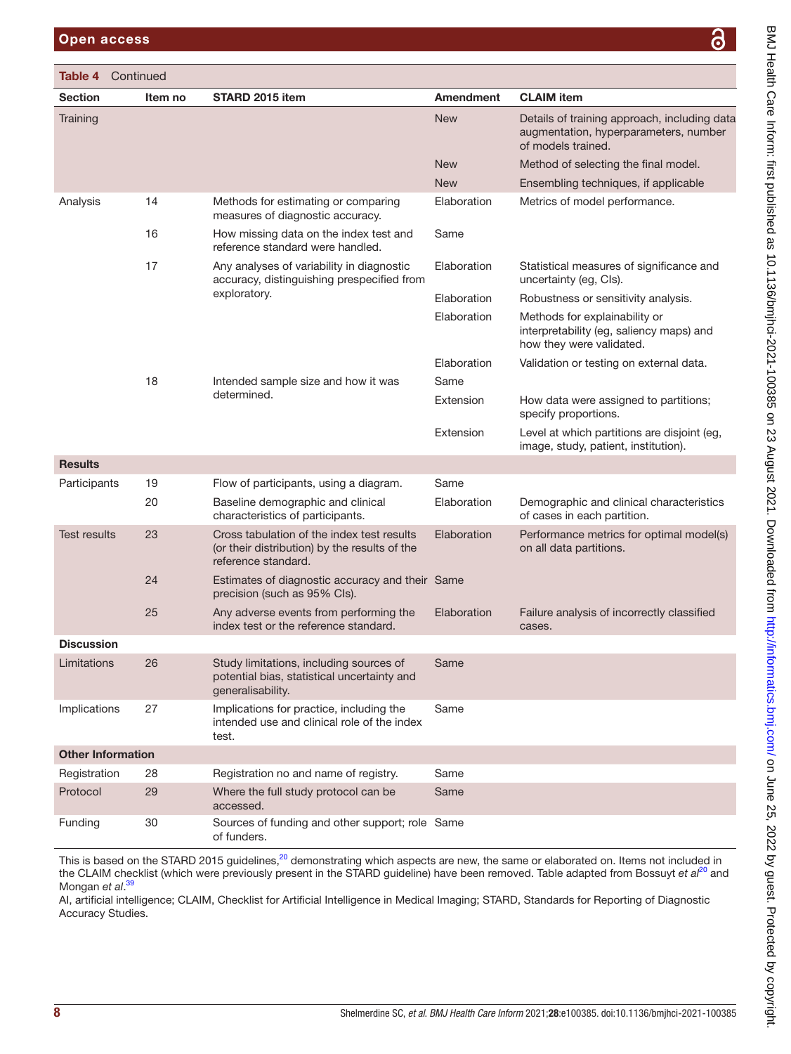| Section                  | Item no                                                                                 | STARD 2015 item                                                                                                    | <b>Amendment</b>                                                   | <b>CLAIM</b> item                                                                                           |
|--------------------------|-----------------------------------------------------------------------------------------|--------------------------------------------------------------------------------------------------------------------|--------------------------------------------------------------------|-------------------------------------------------------------------------------------------------------------|
| Training                 |                                                                                         |                                                                                                                    | <b>New</b>                                                         | Details of training approach, including data<br>augmentation, hyperparameters, number<br>of models trained. |
|                          |                                                                                         |                                                                                                                    | <b>New</b>                                                         | Method of selecting the final model.                                                                        |
|                          |                                                                                         |                                                                                                                    | <b>New</b>                                                         | Ensembling techniques, if applicable                                                                        |
| Analysis                 | 14                                                                                      | Methods for estimating or comparing<br>measures of diagnostic accuracy.                                            | Elaboration                                                        | Metrics of model performance.                                                                               |
|                          | 16                                                                                      | How missing data on the index test and<br>reference standard were handled.                                         | Same                                                               |                                                                                                             |
| 17                       | Any analyses of variability in diagnostic<br>accuracy, distinguishing prespecified from | Elaboration                                                                                                        | Statistical measures of significance and<br>uncertainty (eg, CIs). |                                                                                                             |
|                          |                                                                                         | exploratory.                                                                                                       | Elaboration                                                        | Robustness or sensitivity analysis.                                                                         |
|                          |                                                                                         |                                                                                                                    | Elaboration                                                        | Methods for explainability or<br>interpretability (eg, saliency maps) and<br>how they were validated.       |
|                          |                                                                                         |                                                                                                                    | Elaboration                                                        | Validation or testing on external data.                                                                     |
|                          | 18                                                                                      | Intended sample size and how it was<br>determined.                                                                 | Same                                                               |                                                                                                             |
|                          |                                                                                         |                                                                                                                    | Extension                                                          | How data were assigned to partitions;<br>specify proportions.                                               |
|                          |                                                                                         |                                                                                                                    | Extension                                                          | Level at which partitions are disjoint (eg,<br>image, study, patient, institution).                         |
| <b>Results</b>           |                                                                                         |                                                                                                                    |                                                                    |                                                                                                             |
| Participants             | 19                                                                                      | Flow of participants, using a diagram.                                                                             | Same                                                               |                                                                                                             |
|                          | 20                                                                                      | Baseline demographic and clinical<br>characteristics of participants.                                              | Elaboration                                                        | Demographic and clinical characteristics<br>of cases in each partition.                                     |
| <b>Test results</b>      | 23                                                                                      | Cross tabulation of the index test results<br>(or their distribution) by the results of the<br>reference standard. | Elaboration                                                        | Performance metrics for optimal model(s)<br>on all data partitions.                                         |
|                          | 24                                                                                      | Estimates of diagnostic accuracy and their Same<br>precision (such as 95% Cls).                                    |                                                                    |                                                                                                             |
|                          | 25                                                                                      | Any adverse events from performing the<br>index test or the reference standard.                                    | Elaboration                                                        | Failure analysis of incorrectly classified<br>cases.                                                        |
| <b>Discussion</b>        |                                                                                         |                                                                                                                    |                                                                    |                                                                                                             |
| Limitations              | 26                                                                                      | Study limitations, including sources of<br>potential bias, statistical uncertainty and<br>generalisability.        | Same                                                               |                                                                                                             |
| Implications             | 27                                                                                      | Implications for practice, including the<br>intended use and clinical role of the index<br>test.                   | Same                                                               |                                                                                                             |
| <b>Other Information</b> |                                                                                         |                                                                                                                    |                                                                    |                                                                                                             |
| Registration             | 28                                                                                      | Registration no and name of registry.                                                                              | Same                                                               |                                                                                                             |
| Protocol                 | 29                                                                                      | Where the full study protocol can be<br>accessed.                                                                  | Same                                                               |                                                                                                             |
| Funding                  | 30                                                                                      | Sources of funding and other support; role Same<br>of funders.                                                     |                                                                    |                                                                                                             |

This is based on the STARD 2015 guidelines,<sup>20</sup> demonstrating which aspects are new, the same or elaborated on. Items not included in the CLAIM checklist (which were previously present in the STARD guideline) have been removed. Table adapted from Bossuyt *et al*[20](#page-8-16) and Mongan *et al*. [39](#page-9-5)

AI, artificial intelligence; CLAIM, Checklist for Artificial Intelligence in Medical Imaging; STARD, Standards for Reporting of Diagnostic Accuracy Studies.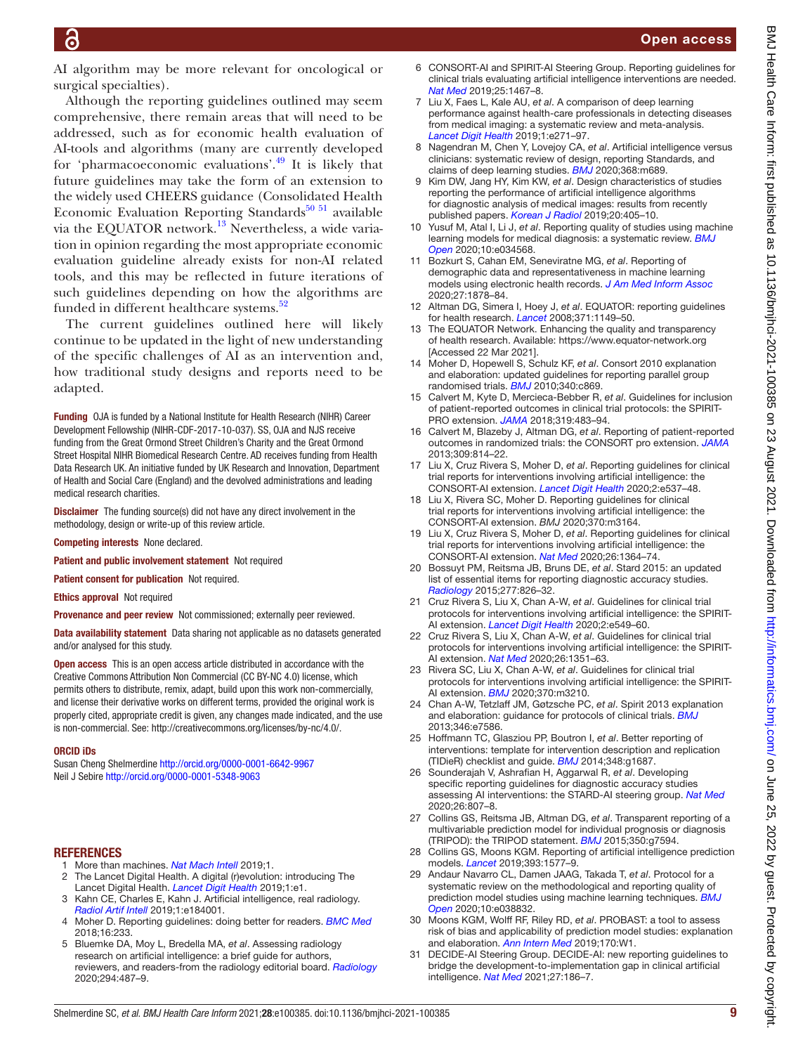AI algorithm may be more relevant for oncological or surgical specialties).

Although the reporting guidelines outlined may seem comprehensive, there remain areas that will need to be addressed, such as for economic health evaluation of AI-tools and algorithms (many are currently developed for 'pharmacoeconomic evaluations'.[49](#page-9-11) It is likely that future guidelines may take the form of an extension to the widely used CHEERS guidance (Consolidated Health Economic Evaluation Reporting Standards $50\,51$  available via the EQUATOR network[.13](#page-8-11) Nevertheless, a wide variation in opinion regarding the most appropriate economic evaluation guideline already exists for non-AI related tools, and this may be reflected in future iterations of such guidelines depending on how the algorithms are funded in different healthcare systems.<sup>[52](#page-9-13)</sup>

The current guidelines outlined here will likely continue to be updated in the light of new understanding of the specific challenges of AI as an intervention and, how traditional study designs and reports need to be adapted.

Funding OJA is funded by a National Institute for Health Research (NIHR) Career Development Fellowship (NIHR-CDF-2017-10-037). SS, OJA and NJS receive funding from the Great Ormond Street Children's Charity and the Great Ormond Street Hospital NIHR Biomedical Research Centre. AD receives funding from Health Data Research UK. An initiative funded by UK Research and Innovation, Department of Health and Social Care (England) and the devolved administrations and leading medical research charities.

**Disclaimer** The funding source(s) did not have any direct involvement in the methodology, design or write-up of this review article.

Competing interests None declared.

Patient and public involvement statement Not required

Patient consent for publication Not required.

Ethics approval Not required

Provenance and peer review Not commissioned; externally peer reviewed.

Data availability statement Data sharing not applicable as no datasets generated and/or analysed for this study.

Open access This is an open access article distributed in accordance with the Creative Commons Attribution Non Commercial (CC BY-NC 4.0) license, which permits others to distribute, remix, adapt, build upon this work non-commercially, and license their derivative works on different terms, provided the original work is properly cited, appropriate credit is given, any changes made indicated, and the use is non-commercial. See: [http://creativecommons.org/licenses/by-nc/4.0/.](http://creativecommons.org/licenses/by-nc/4.0/)

#### ORCID iDs

Susan Cheng Shelmerdine<http://orcid.org/0000-0001-6642-9967> Neil J Sebire <http://orcid.org/0000-0001-5348-9063>

#### REFERENCES

- <span id="page-8-0"></span>1 More than machines. *[Nat Mach Intell](http://dx.doi.org/10.1038/s42256-018-0014-z)* 2019;1.
- <span id="page-8-1"></span>2 The Lancet Digital Health. A digital (r)evolution: introducing The Lancet Digital Health. *[Lancet Digit Health](http://dx.doi.org/10.1016/S2589-7500(19)30010-X)* 2019;1:e1.
- <span id="page-8-2"></span>3 Kahn CE, Charles E, Kahn J. Artificial intelligence, real radiology. *[Radiol Artif Intell](http://dx.doi.org/10.1148/ryai.2019184001)* 2019;1:e184001.
- <span id="page-8-3"></span>4 Moher D. Reporting guidelines: doing better for readers. *[BMC Med](http://dx.doi.org/10.1186/s12916-018-1226-0)* 2018;16:233.
- <span id="page-8-4"></span>5 Bluemke DA, Moy L, Bredella MA, *et al*. Assessing radiology research on artificial intelligence: a brief guide for authors, reviewers, and readers-from the radiology editorial board. *[Radiology](http://dx.doi.org/10.1148/radiol.2019192515)* 2020;294:487–9.
- 6 CONSORT-AI and SPIRIT-AI Steering Group. Reporting guidelines for clinical trials evaluating artificial intelligence interventions are needed. *[Nat Med](http://dx.doi.org/10.1038/s41591-019-0603-3)* 2019;25:1467–8.
- <span id="page-8-5"></span>7 Liu X, Faes L, Kale AU, *et al*. A comparison of deep learning performance against health-care professionals in detecting diseases from medical imaging: a systematic review and meta-analysis. *[Lancet Digit Health](http://dx.doi.org/10.1016/S2589-7500(19)30123-2)* 2019;1:e271–97.
- <span id="page-8-6"></span>Nagendran M, Chen Y, Lovejoy CA, et al. Artificial intelligence versus clinicians: systematic review of design, reporting Standards, and claims of deep learning studies. *[BMJ](http://dx.doi.org/10.1136/bmj.m689)* 2020;368:m689.
- <span id="page-8-7"></span>9 Kim DW, Jang HY, Kim KW, *et al*. Design characteristics of studies reporting the performance of artificial intelligence algorithms for diagnostic analysis of medical images: results from recently published papers. *[Korean J Radiol](http://dx.doi.org/10.3348/kjr.2019.0025)* 2019;20:405–10.
- <span id="page-8-8"></span>10 Yusuf M, Atal I, Li J, *et al*. Reporting quality of studies using machine learning models for medical diagnosis: a systematic review. *[BMJ](http://dx.doi.org/10.1136/bmjopen-2019-034568)  [Open](http://dx.doi.org/10.1136/bmjopen-2019-034568)* 2020;10:e034568.
- <span id="page-8-9"></span>11 Bozkurt S, Cahan EM, Seneviratne MG, *et al*. Reporting of demographic data and representativeness in machine learning models using electronic health records. *[J Am Med Inform Assoc](http://dx.doi.org/10.1093/jamia/ocaa164)* 2020;27:1878–84.
- <span id="page-8-10"></span>12 Altman DG, Simera I, Hoey J, *et al*. EQUATOR: reporting guidelines for health research. *[Lancet](http://dx.doi.org/10.1016/S0140-6736(08)60505-X)* 2008;371:1149–50.
- <span id="page-8-11"></span>13 The EQUATOR Network. Enhancing the quality and transparency of health research. Available: <https://www.equator-network.org> [Accessed 22 Mar 2021].
- <span id="page-8-12"></span>14 Moher D, Hopewell S, Schulz KF, *et al*. Consort 2010 explanation and elaboration: updated guidelines for reporting parallel group randomised trials. *[BMJ](http://dx.doi.org/10.1136/bmj.c869)* 2010;340:c869.
- <span id="page-8-13"></span>15 Calvert M, Kyte D, Mercieca-Bebber R, *et al*. Guidelines for inclusion of patient-reported outcomes in clinical trial protocols: the SPIRIT-PRO extension. *[JAMA](http://dx.doi.org/10.1001/jama.2017.21903)* 2018;319:483–94.
- <span id="page-8-14"></span>16 Calvert M, Blazeby J, Altman DG, *et al*. Reporting of patient-reported outcomes in randomized trials: the CONSORT pro extension. *[JAMA](http://dx.doi.org/10.1001/jama.2013.879)* 2013;309:814–22.
- <span id="page-8-15"></span>17 Liu X, Cruz Rivera S, Moher D, *et al*. Reporting guidelines for clinical trial reports for interventions involving artificial intelligence: the CONSORT-AI extension. *[Lancet Digit Health](http://dx.doi.org/10.1016/S2589-7500(20)30218-1)* 2020;2:e537–48.
- 18 Liu X, Rivera SC, Moher D. Reporting guidelines for clinical trial reports for interventions involving artificial intelligence: the CONSORT-AI extension. *BMJ* 2020;370:m3164.
- 19 Liu X, Cruz Rivera S, Moher D, *et al*. Reporting guidelines for clinical trial reports for interventions involving artificial intelligence: the CONSORT-AI extension. *[Nat Med](http://dx.doi.org/10.1038/s41591-020-1034-x)* 2020;26:1364–74.
- <span id="page-8-16"></span>20 Bossuyt PM, Reitsma JB, Bruns DE, *et al*. Stard 2015: an updated list of essential items for reporting diagnostic accuracy studies. *[Radiology](http://dx.doi.org/10.1148/radiol.2015151516)* 2015;277:826–32.
- <span id="page-8-17"></span>21 Cruz Rivera S, Liu X, Chan A-W, *et al*. Guidelines for clinical trial protocols for interventions involving artificial intelligence: the SPIRIT-AI extension. *[Lancet Digit Health](http://dx.doi.org/10.1016/S2589-7500(20)30219-3)* 2020;2:e549–60.
- 22 Cruz Rivera S, Liu X, Chan A-W, *et al*. Guidelines for clinical trial protocols for interventions involving artificial intelligence: the SPIRIT-AI extension. *[Nat Med](http://dx.doi.org/10.1038/s41591-020-1037-7)* 2020;26:1351–63.
- 23 Rivera SC, Liu X, Chan A-W, *et al*. Guidelines for clinical trial protocols for interventions involving artificial intelligence: the SPIRIT-AI extension. *[BMJ](http://dx.doi.org/10.1136/bmj.m3210)* 2020;370:m3210.
- <span id="page-8-18"></span>24 Chan A-W, Tetzlaff JM, Gøtzsche PC, *et al*. Spirit 2013 explanation and elaboration: guidance for protocols of clinical trials. *[BMJ](http://dx.doi.org/10.1136/bmj.e7586)* 2013;346:e7586.
- <span id="page-8-19"></span>25 Hoffmann TC, Glasziou PP, Boutron I, *et al*. Better reporting of interventions: template for intervention description and replication (TIDieR) checklist and guide. *[BMJ](http://dx.doi.org/10.1136/bmj.g1687)* 2014;348:g1687.
- <span id="page-8-20"></span>26 Sounderajah V, Ashrafian H, Aggarwal R, *et al*. Developing specific reporting guidelines for diagnostic accuracy studies assessing AI interventions: the STARD-AI steering group. *[Nat Med](http://dx.doi.org/10.1038/s41591-020-0941-1)* 2020;26:807–8.
- <span id="page-8-21"></span>27 Collins GS, Reitsma JB, Altman DG, *et al*. Transparent reporting of a multivariable prediction model for individual prognosis or diagnosis (TRIPOD): the TRIPOD statement. *[BMJ](http://dx.doi.org/10.1136/bmj.g7594)* 2015;350:g7594.
- <span id="page-8-22"></span>28 Collins GS, Moons KGM. Reporting of artificial intelligence prediction models. *[Lancet](http://dx.doi.org/10.1016/S0140-6736(19)30037-6)* 2019;393:1577–9.
- 29 Andaur Navarro CL, Damen JAAG, Takada T, *et al*. Protocol for a systematic review on the methodological and reporting quality of prediction model studies using machine learning techniques. *[BMJ](http://dx.doi.org/10.1136/bmjopen-2020-038832)  [Open](http://dx.doi.org/10.1136/bmjopen-2020-038832)* 2020;10:e038832.
- <span id="page-8-23"></span>30 Moons KGM, Wolff RF, Riley RD, *et al*. PROBAST: a tool to assess risk of bias and applicability of prediction model studies: explanation and elaboration. *[Ann Intern Med](http://dx.doi.org/10.7326/M18-1377)* 2019;170:W1.
- <span id="page-8-24"></span>31 DECIDE-AI Steering Group. DECIDE-AI: new reporting guidelines to bridge the development-to-implementation gap in clinical artificial intelligence. *[Nat Med](http://dx.doi.org/10.1038/s41591-021-01229-5)* 2021;27:186–7.